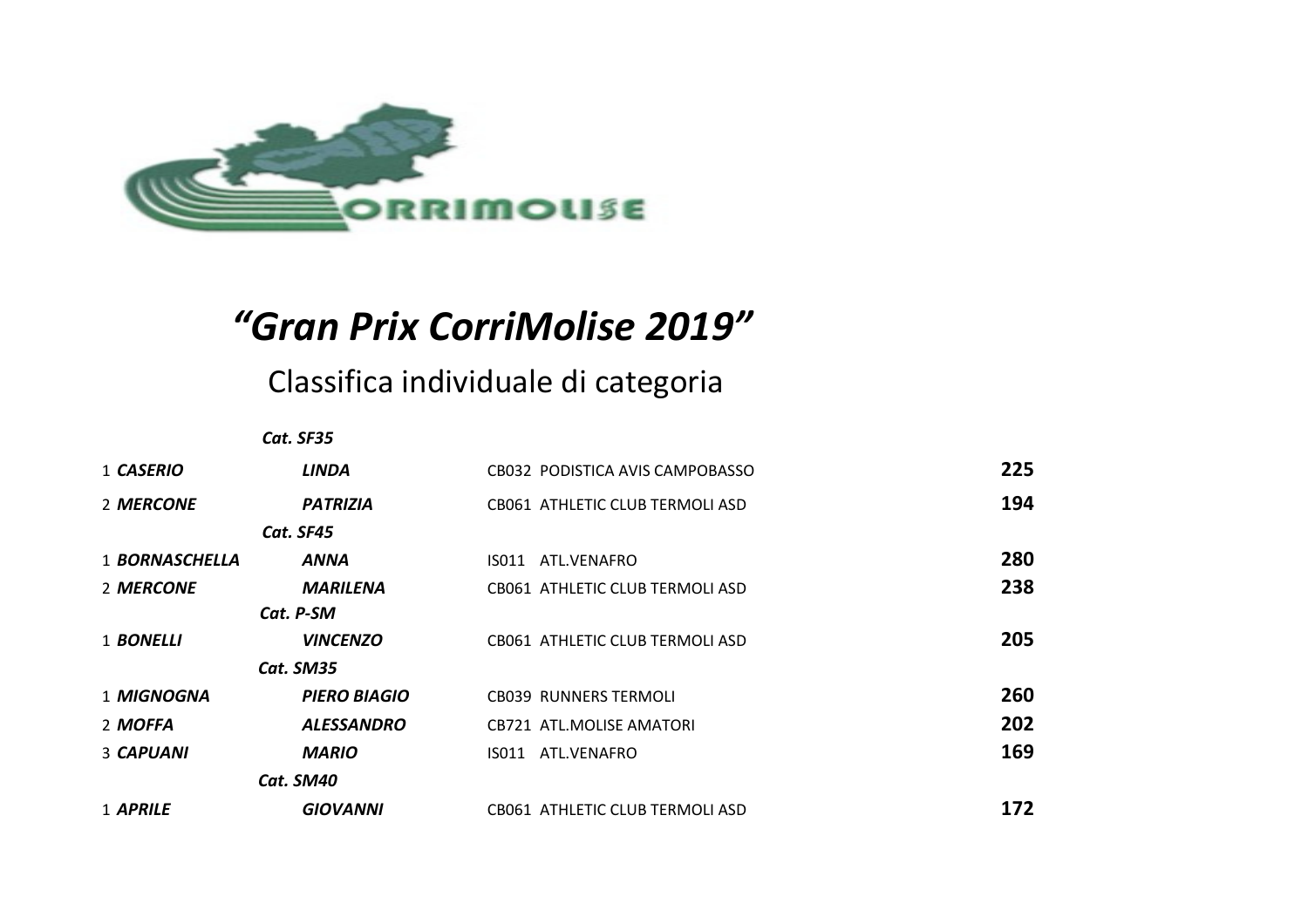

## *"Gran Prix CorriMolise 2019"*

## Classifica individuale di categoria

|                  | Cat. SF35           |                                 |     |
|------------------|---------------------|---------------------------------|-----|
| 1 CASERIO        | <b>LINDA</b>        | CB032 PODISTICA AVIS CAMPOBASSO | 225 |
| 2 MERCONE        | <b>PATRIZIA</b>     | CB061 ATHLETIC CLUB TERMOLI ASD | 194 |
|                  | Cat. SF45           |                                 |     |
| 1 BORNASCHELLA   | ANNA                | IS011 ATL.VENAFRO               | 280 |
| 2 MERCONE        | <b>MARILENA</b>     | CB061 ATHLETIC CLUB TERMOLI ASD | 238 |
|                  | Cat. P-SM           |                                 |     |
| 1 <b>BONELLI</b> | <b>VINCENZO</b>     | CB061 ATHLETIC CLUB TERMOLI ASD | 205 |
|                  | Cat. SM35           |                                 |     |
| 1 MIGNOGNA       | <b>PIERO BIAGIO</b> | <b>CB039 RUNNERS TERMOLI</b>    | 260 |
| 2 MOFFA          | <b>ALESSANDRO</b>   | <b>CB721 ATL.MOLISE AMATORI</b> | 202 |
| 3 CAPUANI        | <b>MARIO</b>        | IS011 ATL.VENAFRO               | 169 |
|                  | Cat. SM40           |                                 |     |
| 1 APRILE         | <b>GIOVANNI</b>     | CB061 ATHLETIC CLUB TERMOLI ASD | 172 |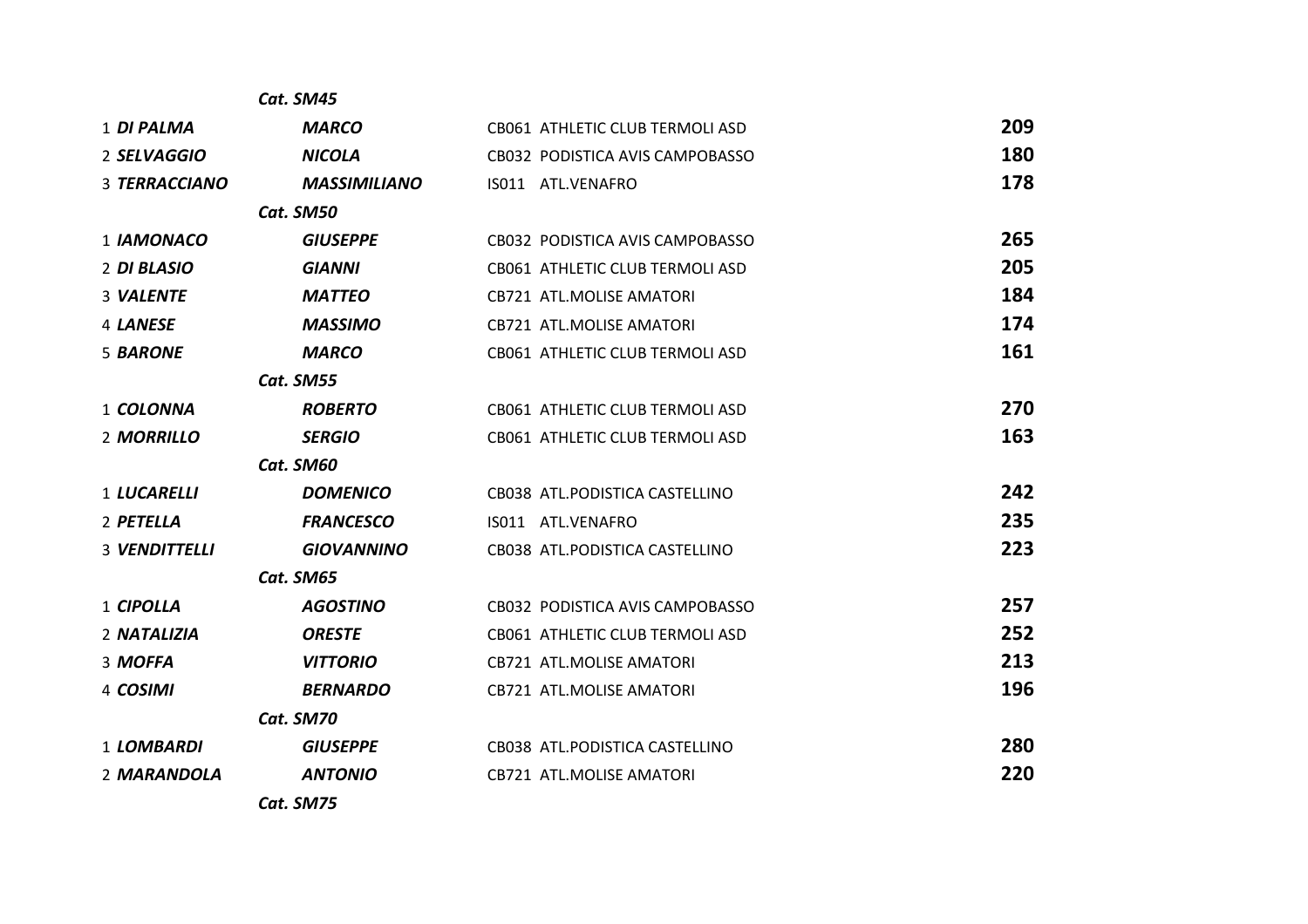|                      | Cat. SM45           |                                 |     |
|----------------------|---------------------|---------------------------------|-----|
| 1 DI PALMA           | <b>MARCO</b>        | CB061 ATHLETIC CLUB TERMOLI ASD | 209 |
| 2 SELVAGGIO          | <b>NICOLA</b>       | CB032 PODISTICA AVIS CAMPOBASSO | 180 |
| 3 TERRACCIANO        | <b>MASSIMILIANO</b> | IS011 ATL.VENAFRO               | 178 |
|                      | Cat. SM50           |                                 |     |
| 1 IAMONACO           | <b>GIUSEPPE</b>     | CB032 PODISTICA AVIS CAMPOBASSO | 265 |
| 2 DI BLASIO          | <b>GIANNI</b>       | CB061 ATHLETIC CLUB TERMOLI ASD | 205 |
| 3 VALENTE            | <b>MATTEO</b>       | <b>CB721 ATL.MOLISE AMATORI</b> | 184 |
| 4 LANESE             | <b>MASSIMO</b>      | <b>CB721 ATL.MOLISE AMATORI</b> | 174 |
| 5 BARONE             | <b>MARCO</b>        | CB061 ATHLETIC CLUB TERMOLI ASD | 161 |
|                      | Cat. SM55           |                                 |     |
| 1 COLONNA            | <b>ROBERTO</b>      | CB061 ATHLETIC CLUB TERMOLI ASD | 270 |
| 2 MORRILLO           | <b>SERGIO</b>       | CB061 ATHLETIC CLUB TERMOLI ASD | 163 |
|                      | Cat. SM60           |                                 |     |
| <b>1 LUCARELLI</b>   | <b>DOMENICO</b>     | CB038 ATL.PODISTICA CASTELLINO  | 242 |
| 2 PETELLA            | <b>FRANCESCO</b>    | IS011 ATL.VENAFRO               | 235 |
| <b>3 VENDITTELLI</b> | <b>GIOVANNINO</b>   | CB038 ATL.PODISTICA CASTELLINO  | 223 |
|                      | Cat. SM65           |                                 |     |
| 1 CIPOLLA            | <b>AGOSTINO</b>     | CB032 PODISTICA AVIS CAMPOBASSO | 257 |
| 2 NATALIZIA          | <b>ORESTE</b>       | CB061 ATHLETIC CLUB TERMOLI ASD | 252 |
| 3 MOFFA              | <b>VITTORIO</b>     | <b>CB721 ATL.MOLISE AMATORI</b> | 213 |
| 4 COSIMI             | <b>BERNARDO</b>     | CB721 ATL.MOLISE AMATORI        | 196 |
|                      | Cat. SM70           |                                 |     |
| 1 LOMBARDI           | <b>GIUSEPPE</b>     | CB038 ATL.PODISTICA CASTELLINO  | 280 |
| 2 MARANDOLA          | <b>ANTONIO</b>      | <b>CB721 ATL.MOLISE AMATORI</b> | 220 |
|                      | Cat. SM75           |                                 |     |